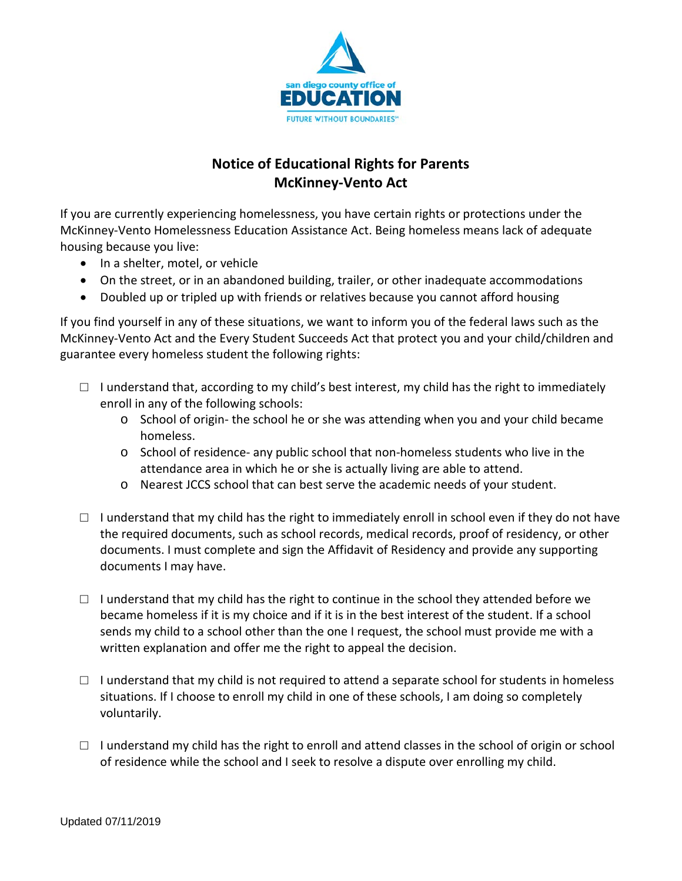

# **Notice of Educational Rights for Parents McKinney-Vento Act**

If you are currently experiencing homelessness, you have certain rights or protections under the McKinney-Vento Homelessness Education Assistance Act. Being homeless means lack of adequate housing because you live:

- In a shelter, motel, or vehicle
- On the street, or in an abandoned building, trailer, or other inadequate accommodations
- Doubled up or tripled up with friends or relatives because you cannot afford housing

If you find yourself in any of these situations, we want to inform you of the federal laws such as the McKinney-Vento Act and the Every Student Succeeds Act that protect you and your child/children and guarantee every homeless student the following rights:

- $\Box$  I understand that, according to my child's best interest, my child has the right to immediately enroll in any of the following schools:
	- o School of origin- the school he or she was attending when you and your child became homeless.
	- o School of residence- any public school that non-homeless students who live in the attendance area in which he or she is actually living are able to attend.
	- o Nearest JCCS school that can best serve the academic needs of your student.
- $\Box$  I understand that my child has the right to immediately enroll in school even if they do not have the required documents, such as school records, medical records, proof of residency, or other documents. I must complete and sign the Affidavit of Residency and provide any supporting documents I may have.
- $\Box$  I understand that my child has the right to continue in the school they attended before we became homeless if it is my choice and if it is in the best interest of the student. If a school sends my child to a school other than the one I request, the school must provide me with a written explanation and offer me the right to appeal the decision.
- $\Box$  I understand that my child is not required to attend a separate school for students in homeless situations. If I choose to enroll my child in one of these schools, I am doing so completely voluntarily.
- □ I understand my child has the right to enroll and attend classes in the school of origin or school of residence while the school and I seek to resolve a dispute over enrolling my child.